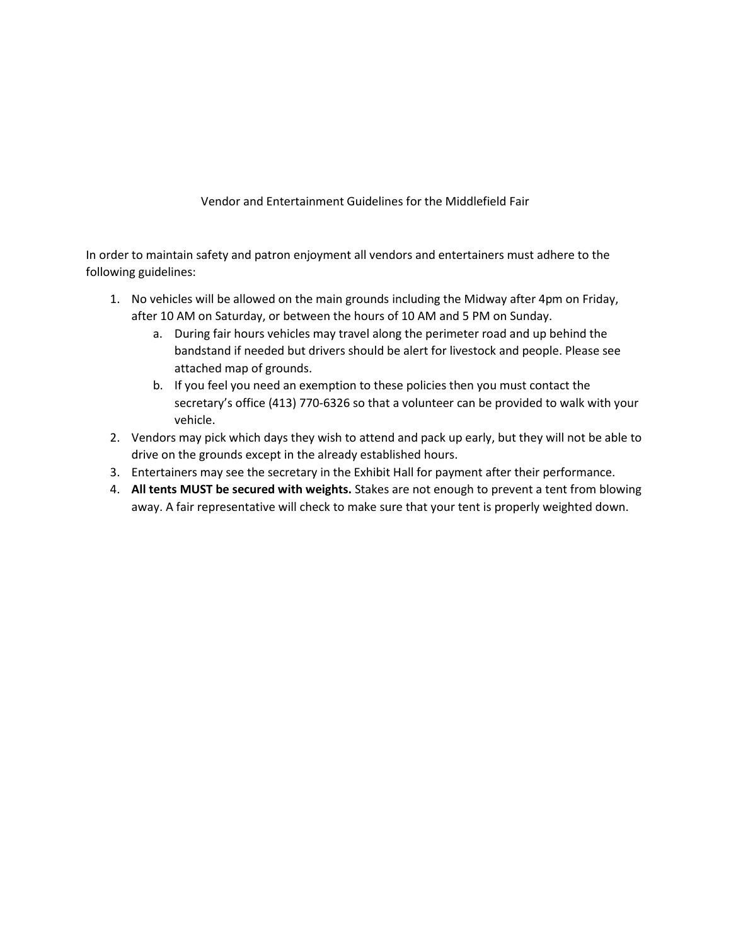Vendor and Entertainment Guidelines for the Middlefield Fair

In order to maintain safety and patron enjoyment all vendors and entertainers must adhere to the following guidelines:

- 1. No vehicles will be allowed on the main grounds including the Midway after 4pm on Friday, after 10 AM on Saturday, or between the hours of 10 AM and 5 PM on Sunday.
	- a. During fair hours vehicles may travel along the perimeter road and up behind the bandstand if needed but drivers should be alert for livestock and people. Please see attached map of grounds.
	- b. If you feel you need an exemption to these policies then you must contact the secretary's office (413) 770-6326 so that a volunteer can be provided to walk with your vehicle.
- 2. Vendors may pick which days they wish to attend and pack up early, but they will not be able to drive on the grounds except in the already established hours.
- 3. Entertainers may see the secretary in the Exhibit Hall for payment after their performance.
- 4. **All tents MUST be secured with weights.** Stakes are not enough to prevent a tent from blowing away. A fair representative will check to make sure that your tent is properly weighted down.